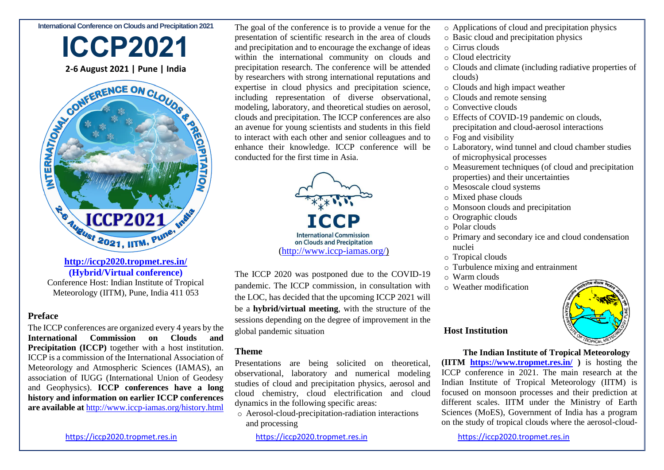#### **International Conference on Clouds and Precipitation 2021**



**(Hybrid/Virtual conference)**

Conference Host: Indian Institute of Tropical Meteorology (IITM), Pune, India 411 053

## **Preface**

The ICCP conferences are organized every 4 years by the **International Commission on Clouds and Precipitation (ICCP)** together with a host institution. ICCP is a commission of the International Association of Meteorology and Atmospheric Sciences (IAMAS), an association of IUGG (International Union of Geodesy and Geophysics). **ICCP conferences have a long history and information on earlier ICCP conferences are available at** <http://www.iccp-iamas.org/history.html> The goal of the conference is to provide a venue for the presentation of scientific research in the area of clouds and precipitation and to encourage the exchange of ideas within the international community on clouds and precipitation research. The conference will be attended by researchers with strong international reputations and expertise in cloud physics and precipitation science, including representation of diverse observational, modeling, laboratory, and theoretical studies on aerosol, clouds and precipitation. The ICCP conferences are also an avenue for young scientists and students in this field to interact with each other and senior colleagues and to enhance their knowledge. ICCP conference will be conducted for the first time in Asia.



The ICCP 2020 was postponed due to the COVID-19 pandemic. The ICCP commission, in consultation with the LOC, has decided that the upcoming ICCP 2021 will be a **hybrid/virtual meeting**, with the structure of the sessions depending on the degree of improvement in the global pandemic situation

## **Theme**

Presentations are being solicited on theoretical, observational, laboratory and numerical modeling studies of cloud and precipitation physics, aerosol and cloud chemistry, cloud electrification and cloud dynamics in the following specific areas:

o Aerosol-cloud-precipitation-radiation interactions and processing

- o Applications of cloud and precipitation physics
- o Basic cloud and precipitation physics
- o Cirrus clouds
- o Cloud electricity
- o Clouds and climate (including radiative properties of clouds)
- o Clouds and high impact weather
- o Clouds and remote sensing
- o Convective clouds
- o Effects of COVID-19 pandemic on clouds, precipitation and cloud-aerosol interactions
- o Fog and visibility
- o Laboratory, wind tunnel and cloud chamber studies of microphysical processes
- o Measurement techniques (of cloud and precipitation properties) and their uncertainties
- o Mesoscale cloud systems
- o Mixed phase clouds
- o Monsoon clouds and precipitation
- o Orographic clouds
- o Polar clouds
- o Primary and secondary ice and cloud condensation nuclei
- o Tropical clouds
- o Turbulence mixing and entrainment
- o Warm clouds
- o Weather modification



## **Host Institution**

**The Indian Institute of Tropical Meteorology (IITM <https://www.tropmet.res.in/> )** is hosting the ICCP conference in 2021. The main research at the Indian Institute of Tropical Meteorology (IITM) is focused on monsoon processes and their prediction at different scales. IITM under the Ministry of Earth Sciences (MoES), Government of India has a program on the study of tropical clouds where the aerosol-cloud-